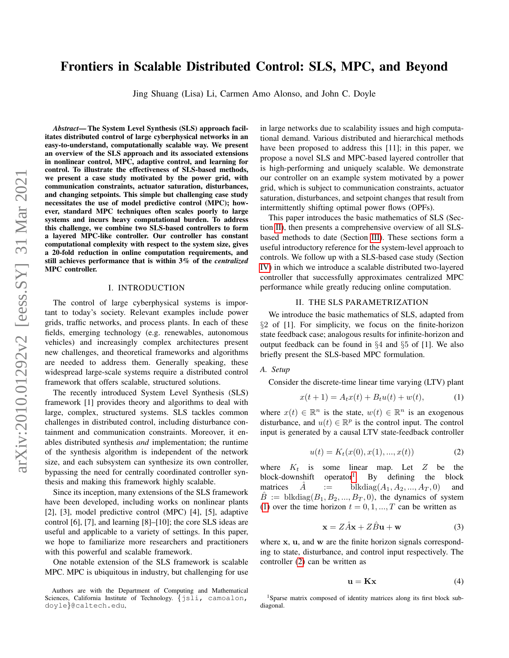# Frontiers in Scalable Distributed Control: SLS, MPC, and Beyond

Jing Shuang (Lisa) Li, Carmen Amo Alonso, and John C. Doyle

*Abstract*— The System Level Synthesis (SLS) approach facilitates distributed control of large cyberphysical networks in an easy-to-understand, computationally scalable way. We present an overview of the SLS approach and its associated extensions in nonlinear control, MPC, adaptive control, and learning for control. To illustrate the effectiveness of SLS-based methods, we present a case study motivated by the power grid, with communication constraints, actuator saturation, disturbances, and changing setpoints. This simple but challenging case study necessitates the use of model predictive control (MPC); however, standard MPC techniques often scales poorly to large systems and incurs heavy computational burden. To address this challenge, we combine two SLS-based controllers to form a layered MPC-like controller. Our controller has constant computational complexity with respect to the system size, gives a 20-fold reduction in online computation requirements, and still achieves performance that is within 3% of the *centralized* MPC controller.

#### I. INTRODUCTION

The control of large cyberphysical systems is important to today's society. Relevant examples include power grids, traffic networks, and process plants. In each of these fields, emerging technology (e.g. renewables, autonomous vehicles) and increasingly complex architectures present new challenges, and theoretical frameworks and algorithms are needed to address them. Generally speaking, these widespread large-scale systems require a distributed control framework that offers scalable, structured solutions.

The recently introduced System Level Synthesis (SLS) framework [1] provides theory and algorithms to deal with large, complex, structured systems. SLS tackles common challenges in distributed control, including disturbance containment and communication constraints. Moreover, it enables distributed synthesis *and* implementation; the runtime of the synthesis algorithm is independent of the network size, and each subsystem can synthesize its own controller, bypassing the need for centrally coordinated controller synthesis and making this framework highly scalable.

Since its inception, many extensions of the SLS framework have been developed, including works on nonlinear plants [2], [3], model predictive control (MPC) [4], [5], adaptive control [6], [7], and learning [8]–[10]; the core SLS ideas are useful and applicable to a variety of settings. In this paper, we hope to familiarize more researchers and practitioners with this powerful and scalable framework.

One notable extension of the SLS framework is scalable MPC. MPC is ubiquitous in industry, but challenging for use in large networks due to scalability issues and high computational demand. Various distributed and hierarchical methods have been proposed to address this [11]; in this paper, we propose a novel SLS and MPC-based layered controller that is high-performing and uniquely scalable. We demonstrate our controller on an example system motivated by a power grid, which is subject to communication constraints, actuator saturation, disturbances, and setpoint changes that result from intermittently shifting optimal power flows (OPFs).

This paper introduces the basic mathematics of SLS (Section [II\)](#page-0-0), then presents a comprehensive overview of all SLSbased methods to date (Section [III\)](#page-2-0). These sections form a useful introductory reference for the system-level approach to controls. We follow up with a SLS-based case study (Section [IV\)](#page-3-0) in which we introduce a scalable distributed two-layered controller that successfully approximates centralized MPC performance while greatly reducing online computation.

#### II. THE SLS PARAMETRIZATION

<span id="page-0-0"></span>We introduce the basic mathematics of SLS, adapted from §2 of [1]. For simplicity, we focus on the finite-horizon state feedback case; analogous results for infinite-horizon and output feedback can be found in  $\S 4$  and  $\S 5$  of [1]. We also briefly present the SLS-based MPC formulation.

## *A. Setup*

Consider the discrete-time linear time varying (LTV) plant

<span id="page-0-2"></span>
$$
x(t+1) = A_t x(t) + B_t u(t) + w(t),
$$
 (1)

where  $x(t) \in \mathbb{R}^n$  is the state,  $w(t) \in \mathbb{R}^n$  is an exogenous disturbance, and  $u(t) \in \mathbb{R}^p$  is the control input. The control input is generated by a causal LTV state-feedback controller

<span id="page-0-3"></span>
$$
u(t) = K_t(x(0), x(1), ..., x(t))
$$
\n(2)

where  $K_t$  is some linear map. Let Z be the block-downshift operator<sup>1</sup>. By defining the block matrices  $\ddot{A}$  := blkdiag $(A_1, A_2, ..., A_T, 0)$  and  $B :=$  blkdiag $(B_1, B_2, ..., B_T, 0)$ , the dynamics of system [\(1\)](#page-0-2) over the time horizon  $t = 0, 1, ..., T$  can be written as

<span id="page-0-4"></span>
$$
\mathbf{x} = Z\hat{A}\mathbf{x} + Z\hat{B}\mathbf{u} + \mathbf{w} \tag{3}
$$

where x, u, and w are the finite horizon signals corresponding to state, disturbance, and control input respectively. The controller [\(2\)](#page-0-3) can be written as

<span id="page-0-5"></span>
$$
\mathbf{u} = \mathbf{K}\mathbf{x} \tag{4}
$$

Authors are with the Department of Computing and Mathematical Sciences, California Institute of Technology. {jsli, camoalon, doyle}@caltech.edu,

<span id="page-0-1"></span><sup>&</sup>lt;sup>1</sup>Sparse matrix composed of identity matrices along its first block subdiagonal.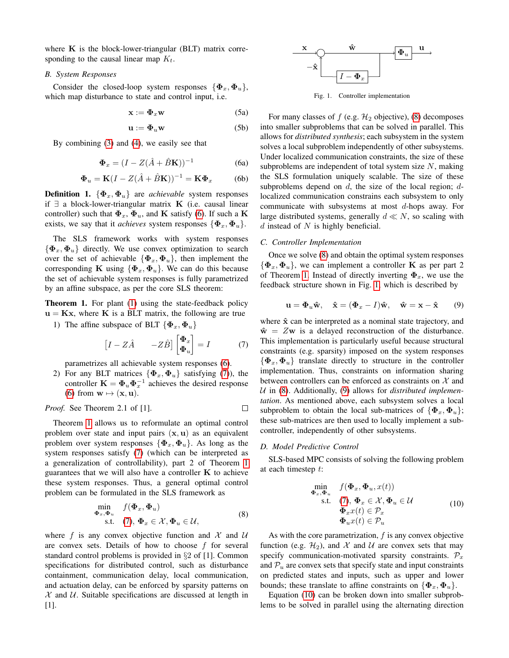where  $K$  is the block-lower-triangular (BLT) matrix corresponding to the causal linear map  $K_t$ .

#### *B. System Responses*

Consider the closed-loop system responses  $\{\mathbf{\Phi}_x, \mathbf{\Phi}_u\},\$ which map disturbance to state and control input, i.e.

$$
\mathbf{x} := \mathbf{\Phi}_x \mathbf{w} \tag{5a}
$$

$$
\mathbf{u} := \mathbf{\Phi}_u \mathbf{w} \tag{5b}
$$

<span id="page-1-0"></span>By combining [\(3\)](#page-0-4) and [\(4\)](#page-0-5), we easily see that

$$
\mathbf{\Phi}_x = (I - Z(\hat{A} + \hat{B}\mathbf{K}))^{-1}
$$
 (6a)

$$
\mathbf{\Phi}_u = \mathbf{K}(I - Z(\hat{A} + \hat{B}\mathbf{K}))^{-1} = \mathbf{K}\mathbf{\Phi}_x \quad (6b)
$$

**Definition 1.**  $\{\Phi_x, \Phi_u\}$  are *achievable* system responses if ∃ a block-lower-triangular matrix K (i.e. causal linear controller) such that  $\Phi_x$ ,  $\Phi_u$ , and **K** satisfy [\(6\)](#page-1-0). If such a **K** exists, we say that it *achieves* system responses  $\{\Phi_x, \Phi_u\}.$ 

The SLS framework works with system responses  ${\{\Phi_x, \Phi_u\}}$  directly. We use convex optimization to search over the set of achievable  $\{\Phi_x, \Phi_u\}$ , then implement the corresponding K using  $\{\Phi_x, \Phi_u\}$ . We can do this because the set of achievable system responses is fully parametrized by an affine subspace, as per the core SLS theorem:

<span id="page-1-2"></span>Theorem 1. For plant [\(1\)](#page-0-2) using the state-feedback policy  $u = Kx$ , where K is a BLT matrix, the following are true

1) The affine subspace of BLT  $\{\Phi_x, \Phi_u\}$ 

<span id="page-1-1"></span>
$$
\begin{bmatrix} I - Z\hat{A} & -Z\hat{B} \end{bmatrix} \begin{bmatrix} \Phi_x \\ \Phi_u \end{bmatrix} = I \tag{7}
$$

parametrizes all achievable system responses [\(6\)](#page-1-0).

2) For any BLT matrices  $\{\Phi_x, \Phi_u\}$  satisfying [\(7\)](#page-1-1)), the controller  $\mathbf{K} = \mathbf{\Phi}_u \mathbf{\Phi}_x^{-1}$  achieves the desired response [\(6\)](#page-1-0) from  $\mathbf{w} \mapsto (\mathbf{x}, \mathbf{u})$ .

*Proof.* See Theorem 2.1 of [1]. 
$$
\Box
$$

Theorem [1](#page-1-2) allows us to reformulate an optimal control problem over state and input pairs  $(x, u)$  as an equivalent problem over system responses  $\{\Phi_x, \Phi_u\}$ . As long as the system responses satisfy [\(7\)](#page-1-1) (which can be interpreted as a generalization of controllability), part 2 of Theorem [1](#page-1-2) guarantees that we will also have a controller  $K$  to achieve these system responses. Thus, a general optimal control problem can be formulated in the SLS framework as

<span id="page-1-3"></span>
$$
\min_{\boldsymbol{\Phi}_x, \boldsymbol{\Phi}_u} f(\boldsymbol{\Phi}_x, \boldsymbol{\Phi}_u) \text{s.t.} \quad (7), \, \boldsymbol{\Phi}_x \in \mathcal{X}, \boldsymbol{\Phi}_u \in \mathcal{U},
$$
\n(8)

where f is any convex objective function and  $\mathcal{X}$  and  $\mathcal{U}$ are convex sets. Details of how to choose  $f$  for several standard control problems is provided in §2 of [1]. Common specifications for distributed control, such as disturbance containment, communication delay, local communication, and actuation delay, can be enforced by sparsity patterns on  $X$  and  $U$ . Suitable specifications are discussed at length in [1].



<span id="page-1-4"></span>Fig. 1. Controller implementation

For many classes of  $f$  (e.g.  $\mathcal{H}_2$  objective), [\(8\)](#page-1-3) decomposes into smaller subproblems that can be solved in parallel. This allows for *distributed synthesis*; each subsystem in the system solves a local subproblem independently of other subsystems. Under localized communication constraints, the size of these subproblems are independent of total system size  $N$ , making the SLS formulation uniquely scalable. The size of these subproblems depend on  $d$ , the size of the local region;  $d$ localized communication constrains each subsystem to only communicate with subsystems at most d-hops away. For large distributed systems, generally  $d \ll N$ , so scaling with  $d$  instead of  $N$  is highly beneficial.

#### *C. Controller Implementation*

Once we solve [\(8\)](#page-1-3) and obtain the optimal system responses  $\{\mathbf \Phi_x, \mathbf \Phi_u\}$ , we can implement a controller **K** as per part 2 of Theorem [1.](#page-1-2) Instead of directly inverting  $\Phi_x$ , we use the feedback structure shown in Fig. [1,](#page-1-4) which is described by

<span id="page-1-5"></span>
$$
\mathbf{u} = \mathbf{\Phi}_u \hat{\mathbf{w}}, \quad \hat{\mathbf{x}} = (\mathbf{\Phi}_x - I)\hat{\mathbf{w}}, \quad \hat{\mathbf{w}} = \mathbf{x} - \hat{\mathbf{x}} \tag{9}
$$

where  $\hat{x}$  can be interpreted as a nominal state trajectory, and  $\hat{\mathbf{w}} = Z\mathbf{w}$  is a delayed reconstruction of the disturbance. This implementation is particularly useful because structural constraints (e.g. sparsity) imposed on the system responses  $\{\boldsymbol{\Phi}_x, \boldsymbol{\Phi}_u\}$  translate directly to structure in the controller implementation. Thus, constraints on information sharing between controllers can be enforced as constraints on  $X$  and U in [\(8\)](#page-1-3). Additionally, [\(9\)](#page-1-5) allows for *distributed implementation*. As mentioned above, each subsystem solves a local subproblem to obtain the local sub-matrices of  $\{\Phi_x, \Phi_u\};$ these sub-matrices are then used to locally implement a subcontroller, independently of other subsystems.

#### <span id="page-1-7"></span>*D. Model Predictive Control*

SLS-based MPC consists of solving the following problem at each timestep t:

<span id="page-1-6"></span>
$$
\min_{\begin{subarray}{l}\n\boldsymbol{\Phi}_x, \boldsymbol{\Phi}_u, & f(\boldsymbol{\Phi}_x, \boldsymbol{\Phi}_u, x(t)) \\
\text{s.t.} & (\mathbf{7}), \boldsymbol{\Phi}_x \in \mathcal{X}, \boldsymbol{\Phi}_u \in \mathcal{U} \\
\boldsymbol{\Phi}_x x(t) \in \mathcal{P}_x \\
\boldsymbol{\Phi}_u x(t) \in \mathcal{P}_u\n\end{subarray} \tag{10}
$$

As with the core parametrization,  $f$  is any convex objective function (e.g.  $\mathcal{H}_2$ ), and X and U are convex sets that may specify communication-motivated sparsity constraints.  $\mathcal{P}_x$ and  $P_u$  are convex sets that specify state and input constraints on predicted states and inputs, such as upper and lower bounds; these translate to affine constraints on  $\{\mathbf{\Phi}_x, \mathbf{\Phi}_u\}.$ 

Equation [\(10\)](#page-1-6) can be broken down into smaller subproblems to be solved in parallel using the alternating direction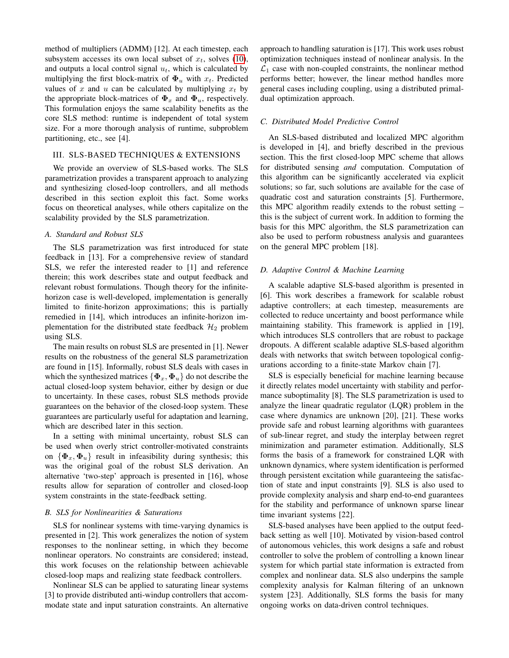method of multipliers (ADMM) [12]. At each timestep, each subsystem accesses its own local subset of  $x_t$ , solves [\(10\)](#page-1-6), and outputs a local control signal  $u_t$ , which is calculated by multiplying the first block-matrix of  $\Phi_u$  with  $x_t$ . Predicted values of x and u can be calculated by multiplying  $x_t$  by the appropriate block-matrices of  $\Phi_x$  and  $\Phi_u$ , respectively. This formulation enjoys the same scalability benefits as the core SLS method: runtime is independent of total system size. For a more thorough analysis of runtime, subproblem partitioning, etc., see [4].

## <span id="page-2-0"></span>III. SLS-BASED TECHNIQUES & EXTENSIONS

We provide an overview of SLS-based works. The SLS parametrization provides a transparent approach to analyzing and synthesizing closed-loop controllers, and all methods described in this section exploit this fact. Some works focus on theoretical analyses, while others capitalize on the scalability provided by the SLS parametrization.

## *A. Standard and Robust SLS*

The SLS parametrization was first introduced for state feedback in [13]. For a comprehensive review of standard SLS, we refer the interested reader to [1] and reference therein; this work describes state and output feedback and relevant robust formulations. Though theory for the infinitehorizon case is well-developed, implementation is generally limited to finite-horizon approximations; this is partially remedied in [14], which introduces an infinite-horizon implementation for the distributed state feedback  $\mathcal{H}_2$  problem using SLS.

The main results on robust SLS are presented in [1]. Newer results on the robustness of the general SLS parametrization are found in [15]. Informally, robust SLS deals with cases in which the synthesized matrices  $\{\boldsymbol{\Phi}_x, \boldsymbol{\Phi}_u\}$  do not describe the actual closed-loop system behavior, either by design or due to uncertainty. In these cases, robust SLS methods provide guarantees on the behavior of the closed-loop system. These guarantees are particularly useful for adaptation and learning, which are described later in this section.

In a setting with minimal uncertainty, robust SLS can be used when overly strict controller-motivated constraints on  $\{\Phi_x, \Phi_u\}$  result in infeasibility during synthesis; this was the original goal of the robust SLS derivation. An alternative 'two-step' approach is presented in [16], whose results allow for separation of controller and closed-loop system constraints in the state-feedback setting.

#### *B. SLS for Nonlinearities & Saturations*

SLS for nonlinear systems with time-varying dynamics is presented in [2]. This work generalizes the notion of system responses to the nonlinear setting, in which they become nonlinear operators. No constraints are considered; instead, this work focuses on the relationship between achievable closed-loop maps and realizing state feedback controllers.

Nonlinear SLS can be applied to saturating linear systems [3] to provide distributed anti-windup controllers that accommodate state and input saturation constraints. An alternative approach to handling saturation is [17]. This work uses robust optimization techniques instead of nonlinear analysis. In the  $\mathcal{L}_1$  case with non-coupled constraints, the nonlinear method performs better; however, the linear method handles more general cases including coupling, using a distributed primaldual optimization approach.

## *C. Distributed Model Predictive Control*

An SLS-based distributed and localized MPC algorithm is developed in [4], and briefly described in the previous section. This the first closed-loop MPC scheme that allows for distributed sensing *and* computation. Computation of this algorithm can be significantly accelerated via explicit solutions; so far, such solutions are available for the case of quadratic cost and saturation constraints [5]. Furthermore, this MPC algorithm readily extends to the robust setting – this is the subject of current work. In addition to forming the basis for this MPC algorithm, the SLS parametrization can also be used to perform robustness analysis and guarantees on the general MPC problem [18].

## *D. Adaptive Control & Machine Learning*

A scalable adaptive SLS-based algorithm is presented in [6]. This work describes a framework for scalable robust adaptive controllers; at each timestep, measurements are collected to reduce uncertainty and boost performance while maintaining stability. This framework is applied in [19], which introduces SLS controllers that are robust to package dropouts. A different scalable adaptive SLS-based algorithm deals with networks that switch between topological configurations according to a finite-state Markov chain [7].

SLS is especially beneficial for machine learning because it directly relates model uncertainty with stability and performance suboptimality [8]. The SLS parametrization is used to analyze the linear quadratic regulator (LQR) problem in the case where dynamics are unknown [20], [21]. These works provide safe and robust learning algorithms with guarantees of sub-linear regret, and study the interplay between regret minimization and parameter estimation. Additionally, SLS forms the basis of a framework for constrained LQR with unknown dynamics, where system identification is performed through persistent excitation while guaranteeing the satisfaction of state and input constraints [9]. SLS is also used to provide complexity analysis and sharp end-to-end guarantees for the stability and performance of unknown sparse linear time invariant systems [22].

SLS-based analyses have been applied to the output feedback setting as well [10]. Motivated by vision-based control of autonomous vehicles, this work designs a safe and robust controller to solve the problem of controlling a known linear system for which partial state information is extracted from complex and nonlinear data. SLS also underpins the sample complexity analysis for Kalman filtering of an unknown system [23]. Additionally, SLS forms the basis for many ongoing works on data-driven control techniques.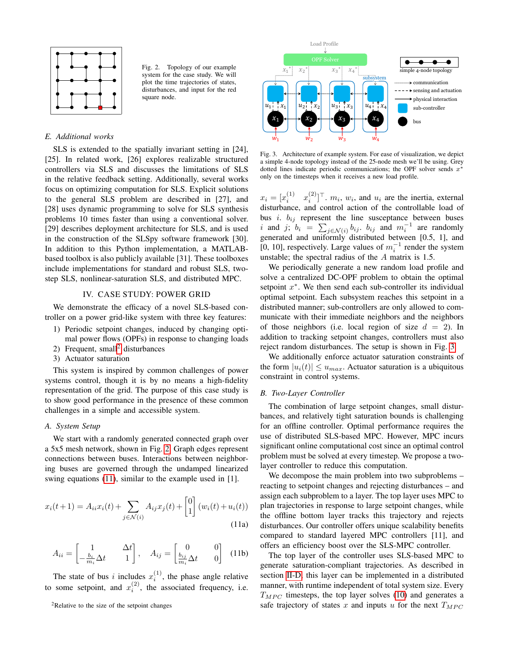

<span id="page-3-2"></span>Fig. 2. Topology of our example system for the case study. We will plot the time trajectories of states, disturbances, and input for the red square node.

## *E. Additional works*

SLS is extended to the spatially invariant setting in [24], [25]. In related work, [26] explores realizable structured controllers via SLS and discusses the limitations of SLS in the relative feedback setting. Additionally, several works focus on optimizing computation for SLS. Explicit solutions to the general SLS problem are described in [27], and [28] uses dynamic programming to solve for SLS synthesis problems 10 times faster than using a conventional solver. [29] describes deployment architecture for SLS, and is used in the construction of the SLSpy software framework [30]. In addition to this Python implementation, a MATLABbased toolbox is also publicly available [31]. These toolboxes include implementations for standard and robust SLS, twostep SLS, nonlinear-saturation SLS, and distributed MPC.

### IV. CASE STUDY: POWER GRID

<span id="page-3-0"></span>We demonstrate the efficacy of a novel SLS-based controller on a power grid-like system with three key features:

- 1) Periodic setpoint changes, induced by changing optimal power flows (OPFs) in response to changing loads
- [2](#page-3-1)) Frequent, small<sup>2</sup> disturbances
- 3) Actuator saturation

This system is inspired by common challenges of power systems control, though it is by no means a high-fidelity representation of the grid. The purpose of this case study is to show good performance in the presence of these common challenges in a simple and accessible system.

## *A. System Setup*

We start with a randomly generated connected graph over a 5x5 mesh network, shown in Fig. [2.](#page-3-2) Graph edges represent connections between buses. Interactions between neighboring buses are governed through the undamped linearized swing equations [\(11\)](#page-3-3), similar to the example used in [1].

<span id="page-3-3"></span>
$$
x_i(t+1) = A_{ii}x_i(t) + \sum_{j \in \mathcal{N}(i)} A_{ij}x_j(t) + \begin{bmatrix} 0 \\ 1 \end{bmatrix} (w_i(t) + u_i(t))
$$
\n(11a)

$$
A_{ii} = \begin{bmatrix} 1 & \Delta t \\ -\frac{b_i}{m_i} \Delta t & 1 \end{bmatrix}, \quad A_{ij} = \begin{bmatrix} 0 & 0 \\ \frac{b_{ij}}{m_i} \Delta t & 0 \end{bmatrix}
$$
 (11b)

The state of bus i includes  $x_i^{(1)}$ , the phase angle relative to some setpoint, and  $x_i^{(2)}$ , the associated frequency, i.e.



<span id="page-3-4"></span>Fig. 3. Architecture of example system. For ease of visualization, we depict a simple 4-node topology instead of the 25-node mesh we'll be using. Grey dotted lines indicate periodic communications; the OPF solver sends  $x^*$ only on the timesteps when it receives a new load profile.

 $x_i = [x_i^{(1)} \quad x_i^{(2)}]^\top$ .  $m_i$ ,  $w_i$ , and  $u_i$  are the inertia, external disturbance, and control action of the controllable load of bus *i*.  $b_{ij}$  represent the line susceptance between buses i and j;  $b_i = \sum_{j \in \mathcal{N}(i)} b_{ij}$ .  $b_{ij}$  and  $m_i^{-1}$  are randomly generated and uniformly distributed between [0.5, 1], and [0, 10], respectively. Large values of  $m_i^{-1}$  render the system unstable; the spectral radius of the A matrix is 1.5.

We periodically generate a new random load profile and solve a centralized DC-OPF problem to obtain the optimal setpoint  $x^*$ . We then send each sub-controller its individual optimal setpoint. Each subsystem reaches this setpoint in a distributed manner; sub-controllers are only allowed to communicate with their immediate neighbors and the neighbors of those neighbors (i.e. local region of size  $d = 2$ ). In addition to tracking setpoint changes, controllers must also reject random disturbances. The setup is shown in Fig. [3.](#page-3-4)

We additionally enforce actuator saturation constraints of the form  $|u_i(t)| \le u_{max}$ . Actuator saturation is a ubiquitous constraint in control systems.

#### *B. Two-Layer Controller*

The combination of large setpoint changes, small disturbances, and relatively tight saturation bounds is challenging for an offline controller. Optimal performance requires the use of distributed SLS-based MPC. However, MPC incurs significant online computational cost since an optimal control problem must be solved at every timestep. We propose a twolayer controller to reduce this computation.

We decompose the main problem into two subproblems – reacting to setpoint changes and rejecting disturbances – and assign each subproblem to a layer. The top layer uses MPC to plan trajectories in response to large setpoint changes, while the offline bottom layer tracks this trajectory and rejects disturbances. Our controller offers unique scalability benefits compared to standard layered MPC controllers [11], and offers an efficiency boost over the SLS-MPC controller.

The top layer of the controller uses SLS-based MPC to generate saturation-compliant trajectories. As described in section [II-D,](#page-1-7) this layer can be implemented in a distributed manner, with runtime independent of total system size. Every  $T_{MPC}$  timesteps, the top layer solves [\(10\)](#page-1-6) and generates a safe trajectory of states x and inputs u for the next  $T_{MPC}$ 

<span id="page-3-1"></span><sup>2</sup>Relative to the size of the setpoint changes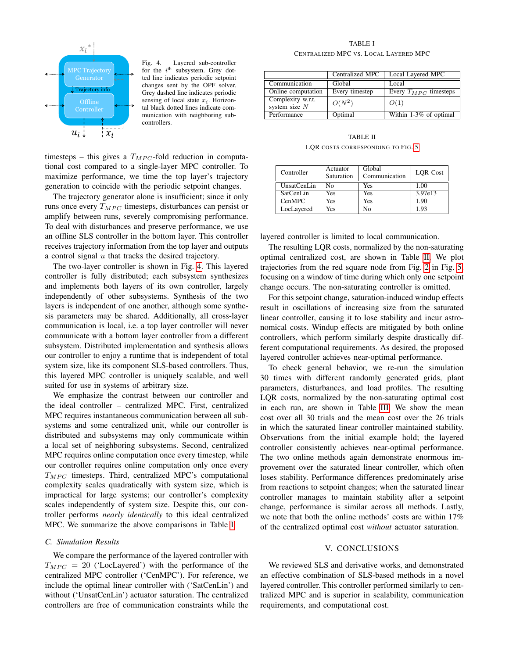

<span id="page-4-0"></span>Fig. 4. Layered sub-controller for the  $i^{\text{th}}$  subsystem. Grey dotted line indicates periodic setpoint changes sent by the OPF solver. Grey dashed line indicates periodic sensing of local state  $x_i$ . Horizontal black dotted lines indicate communication with neighboring subcontrollers.

timesteps – this gives a  $T_{MPC}$ -fold reduction in computational cost compared to a single-layer MPC controller. To maximize performance, we time the top layer's trajectory generation to coincide with the periodic setpoint changes.

The trajectory generator alone is insufficient; since it only runs once every  $T_{MPC}$  timesteps, disturbances can persist or amplify between runs, severely compromising performance. To deal with disturbances and preserve performance, we use an offline SLS controller in the bottom layer. This controller receives trajectory information from the top layer and outputs a control signal u that tracks the desired trajectory.

The two-layer controller is shown in Fig. [4.](#page-4-0) This layered controller is fully distributed; each subsystem synthesizes and implements both layers of its own controller, largely independently of other subsystems. Synthesis of the two layers is independent of one another, although some synthesis parameters may be shared. Additionally, all cross-layer communication is local, i.e. a top layer controller will never communicate with a bottom layer controller from a different subsystem. Distributed implementation and synthesis allows our controller to enjoy a runtime that is independent of total system size, like its component SLS-based controllers. Thus, this layered MPC controller is uniquely scalable, and well suited for use in systems of arbitrary size.

We emphasize the contrast between our controller and the ideal controller – centralized MPC. First, centralized MPC requires instantaneous communication between all subsystems and some centralized unit, while our controller is distributed and subsystems may only communicate within a local set of neighboring subsystems. Second, centralized MPC requires online computation once every timestep, while our controller requires online computation only once every  $T_{MPC}$  timesteps. Third, centralized MPC's computational complexity scales quadratically with system size, which is impractical for large systems; our controller's complexity scales independently of system size. Despite this, our controller performs *nearly identically* to this ideal centralized MPC. We summarize the above comparisons in Table [I.](#page-4-1)

#### *C. Simulation Results*

We compare the performance of the layered controller with  $T_{MPC}$  = 20 ('LocLayered') with the performance of the centralized MPC controller ('CenMPC'). For reference, we include the optimal linear controller with ('SatCenLin') and without ('UnsatCenLin') actuator saturation. The centralized controllers are free of communication constraints while the

TABLE I CENTRALIZED MPC VS. LOCAL LAYERED MPC

<span id="page-4-1"></span>

|                                      | Centralized MPC | Local Layered MPC         |
|--------------------------------------|-----------------|---------------------------|
| Communication                        | Global          | Local                     |
| Online computation                   | Every timestep  | Every $T_{MPC}$ timesteps |
| Complexity w.r.t.<br>system size $N$ | $O(N^2)$        | O(1)                      |
| Performance                          | Optimal         | Within 1-3% of optimal    |

TABLE II LQR COSTS CORRESPONDING TO FIG. [5](#page-5-0)

<span id="page-4-2"></span>

| Controller  | Actuator<br>Saturation | Global<br>Communication | LOR Cost |
|-------------|------------------------|-------------------------|----------|
| UnsatCenLin | No                     | Yes                     | 1.00     |
| SatCenLin   | Yes                    | Yes                     | 3.97e13  |
| CenMPC      | Yes                    | Yes                     | 1.90     |
| LocLayered  | Yes                    | No                      | 1.93     |

layered controller is limited to local communication.

The resulting LQR costs, normalized by the non-saturating optimal centralized cost, are shown in Table [II.](#page-4-2) We plot trajectories from the red square node from Fig. [2](#page-3-2) in Fig. [5,](#page-5-0) focusing on a window of time during which only one setpoint change occurs. The non-saturating controller is omitted.

For this setpoint change, saturation-induced windup effects result in oscillations of increasing size from the saturated linear controller, causing it to lose stability and incur astronomical costs. Windup effects are mitigated by both online controllers, which perform similarly despite drastically different computational requirements. As desired, the proposed layered controller achieves near-optimal performance.

To check general behavior, we re-run the simulation 30 times with different randomly generated grids, plant parameters, disturbances, and load profiles. The resulting LQR costs, normalized by the non-saturating optimal cost in each run, are shown in Table [III.](#page-5-1) We show the mean cost over all 30 trials and the mean cost over the 26 trials in which the saturated linear controller maintained stability. Observations from the initial example hold; the layered controller consistently achieves near-optimal performance. The two online methods again demonstrate enormous improvement over the saturated linear controller, which often loses stability. Performance differences predominately arise from reactions to setpoint changes; when the saturated linear controller manages to maintain stability after a setpoint change, performance is similar across all methods. Lastly, we note that both the online methods' costs are within 17% of the centralized optimal cost *without* actuator saturation.

#### V. CONCLUSIONS

We reviewed SLS and derivative works, and demonstrated an effective combination of SLS-based methods in a novel layered controller. This controller performed similarly to centralized MPC and is superior in scalability, communication requirements, and computational cost.